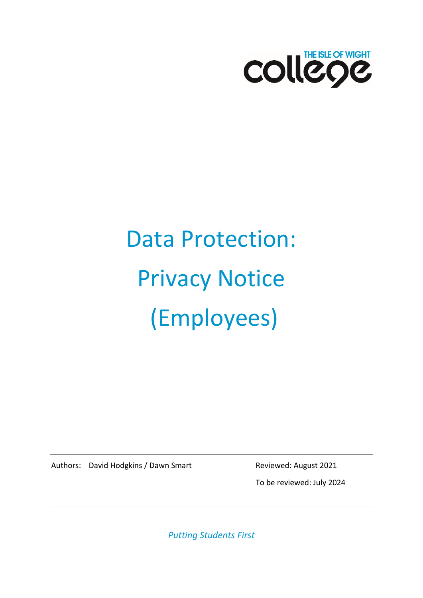

# Data Protection: Privacy Notice (Employees)

Authors: David Hodgkins / Dawn Smart Reviewed: August 2021

To be reviewed: July 2024

*Putting Students First*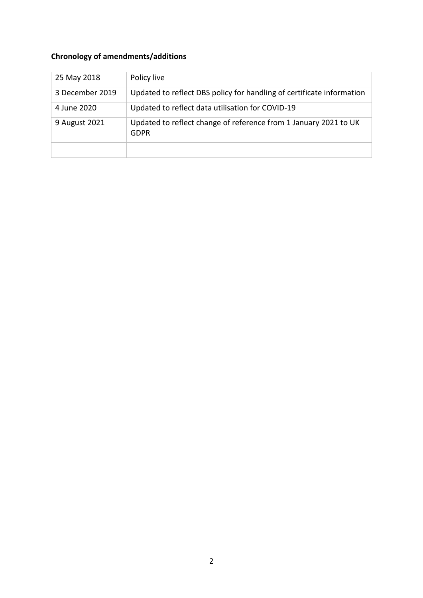# **Chronology of amendments/additions**

| 25 May 2018     | Policy live                                                              |
|-----------------|--------------------------------------------------------------------------|
| 3 December 2019 | Updated to reflect DBS policy for handling of certificate information    |
| 4 June 2020     | Updated to reflect data utilisation for COVID-19                         |
| 9 August 2021   | Updated to reflect change of reference from 1 January 2021 to UK<br>GDPR |
|                 |                                                                          |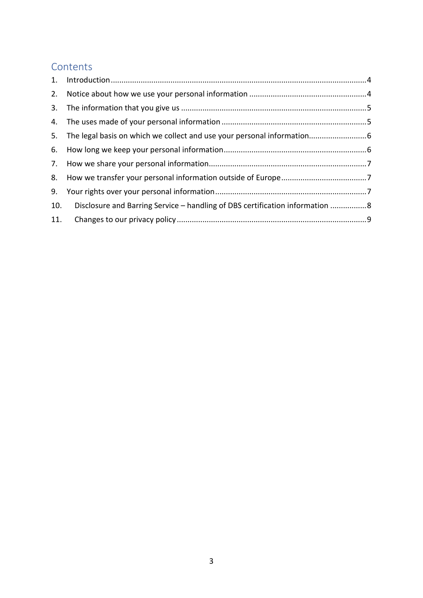## **Contents**

| 10. Disclosure and Barring Service - handling of DBS certification information 8 |  |
|----------------------------------------------------------------------------------|--|
|                                                                                  |  |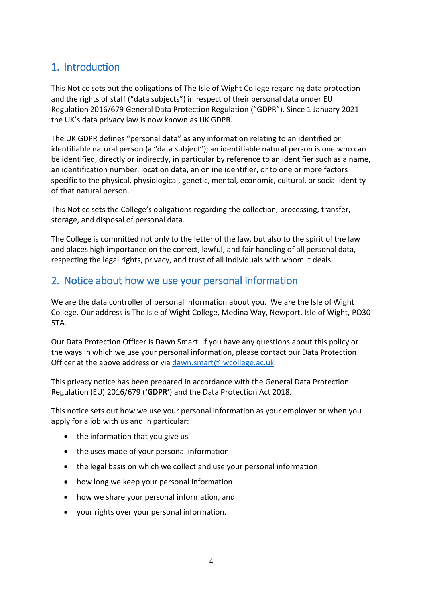# <span id="page-3-0"></span>1. Introduction

This Notice sets out the obligations of The Isle of Wight College regarding data protection and the rights of staff ("data subjects") in respect of their personal data under EU Regulation 2016/679 General Data Protection Regulation ("GDPR"). Since 1 January 2021 the UK's data privacy law is now known as UK GDPR.

The UK GDPR defines "personal data" as any information relating to an identified or identifiable natural person (a "data subject"); an identifiable natural person is one who can be identified, directly or indirectly, in particular by reference to an identifier such as a name, an identification number, location data, an online identifier, or to one or more factors specific to the physical, physiological, genetic, mental, economic, cultural, or social identity of that natural person.

This Notice sets the College's obligations regarding the collection, processing, transfer, storage, and disposal of personal data.

The College is committed not only to the letter of the law, but also to the spirit of the law and places high importance on the correct, lawful, and fair handling of all personal data, respecting the legal rights, privacy, and trust of all individuals with whom it deals.

## <span id="page-3-1"></span>2. Notice about how we use your personal information

We are the data controller of personal information about you. We are the Isle of Wight College. Our address is The Isle of Wight College, Medina Way, Newport, Isle of Wight, PO30 5TA.

Our Data Protection Officer is Dawn Smart. If you have any questions about this policy or the ways in which we use your personal information, please contact our Data Protection Officer at the above address or via [dawn.smart@iwcollege.ac.uk.](mailto:dawn.smart@iwcollege.ac.uk)

This privacy notice has been prepared in accordance with the General Data Protection Regulation (EU) 2016/679 (**'GDPR'**) and the Data Protection Act 2018.

This notice sets out how we use your personal information as your employer or when you apply for a job with us and in particular:

- the information that you give us
- the uses made of your personal information
- the legal basis on which we collect and use your personal information
- how long we keep your personal information
- how we share your personal information, and
- your rights over your personal information.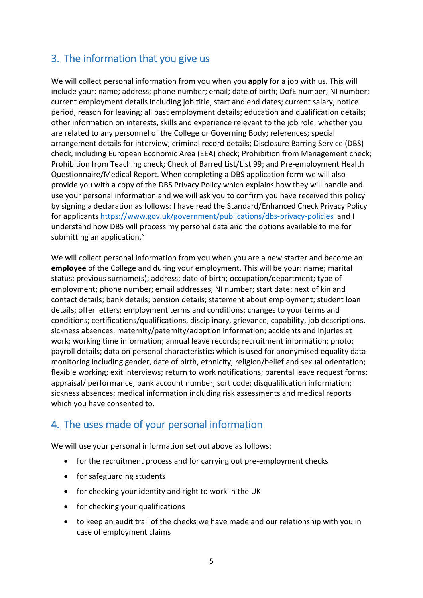# <span id="page-4-0"></span>3. The information that you give us

We will collect personal information from you when you **apply** for a job with us. This will include your: name; address; phone number; email; date of birth; DofE number; NI number; current employment details including job title, start and end dates; current salary, notice period, reason for leaving; all past employment details; education and qualification details; other information on interests, skills and experience relevant to the job role; whether you are related to any personnel of the College or Governing Body; references; special arrangement details for interview; criminal record details; Disclosure Barring Service (DBS) check, including European Economic Area (EEA) check; Prohibition from Management check; Prohibition from Teaching check; Check of Barred List/List 99; and Pre-employment Health Questionnaire/Medical Report. When completing a DBS application form we will also provide you with a copy of the DBS Privacy Policy which explains how they will handle and use your personal information and we will ask you to confirm you have received this policy by signing a declaration as follows: I have read the Standard/Enhanced Check Privacy Policy for applicants<https://www.gov.uk/government/publications/dbs-privacy-policies>and I understand how DBS will process my personal data and the options available to me for submitting an application."

We will collect personal information from you when you are a new starter and become an **employee** of the College and during your employment. This will be your: name; marital status; previous surname(s); address; date of birth; occupation/department; type of employment; phone number; email addresses; NI number; start date; next of kin and contact details; bank details; pension details; statement about employment; student loan details; offer letters; employment terms and conditions; changes to your terms and conditions; certifications/qualifications, disciplinary, grievance, capability, job descriptions, sickness absences, maternity/paternity/adoption information; accidents and injuries at work; working time information; annual leave records; recruitment information; photo; payroll details; data on personal characteristics which is used for anonymised equality data monitoring including gender, date of birth, ethnicity, religion/belief and sexual orientation; flexible working; exit interviews; return to work notifications; parental leave request forms; appraisal/ performance; bank account number; sort code; disqualification information; sickness absences; medical information including risk assessments and medical reports which you have consented to.

## <span id="page-4-1"></span>4. The uses made of your personal information

We will use your personal information set out above as follows:

- for the recruitment process and for carrying out pre-employment checks
- for safeguarding students
- for checking your identity and right to work in the UK
- for checking your qualifications
- to keep an audit trail of the checks we have made and our relationship with you in case of employment claims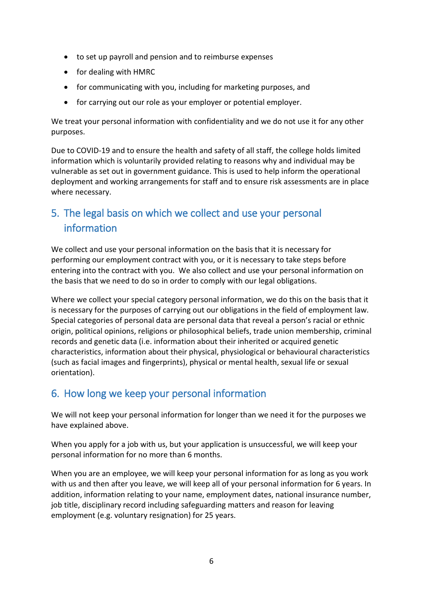- to set up payroll and pension and to reimburse expenses
- for dealing with HMRC
- for communicating with you, including for marketing purposes, and
- for carrying out our role as your employer or potential employer.

We treat your personal information with confidentiality and we do not use it for any other purposes.

Due to COVID-19 and to ensure the health and safety of all staff, the college holds limited information which is voluntarily provided relating to reasons why and individual may be vulnerable as set out in government guidance. This is used to help inform the operational deployment and working arrangements for staff and to ensure risk assessments are in place where necessary.

# <span id="page-5-0"></span>5. The legal basis on which we collect and use your personal information

We collect and use your personal information on the basis that it is necessary for performing our employment contract with you, or it is necessary to take steps before entering into the contract with you. We also collect and use your personal information on the basis that we need to do so in order to comply with our legal obligations.

Where we collect your special category personal information, we do this on the basis that it is necessary for the purposes of carrying out our obligations in the field of employment law. Special categories of personal data are personal data that reveal a person's racial or ethnic origin, political opinions, religions or philosophical beliefs, trade union membership, criminal records and genetic data (i.e. information about their inherited or acquired genetic characteristics, information about their physical, physiological or behavioural characteristics (such as facial images and fingerprints), physical or mental health, sexual life or sexual orientation).

## <span id="page-5-1"></span>6. How long we keep your personal information

We will not keep your personal information for longer than we need it for the purposes we have explained above.

When you apply for a job with us, but your application is unsuccessful, we will keep your personal information for no more than 6 months.

When you are an employee, we will keep your personal information for as long as you work with us and then after you leave, we will keep all of your personal information for 6 years. In addition, information relating to your name, employment dates, national insurance number, job title, disciplinary record including safeguarding matters and reason for leaving employment (e.g. voluntary resignation) for 25 years.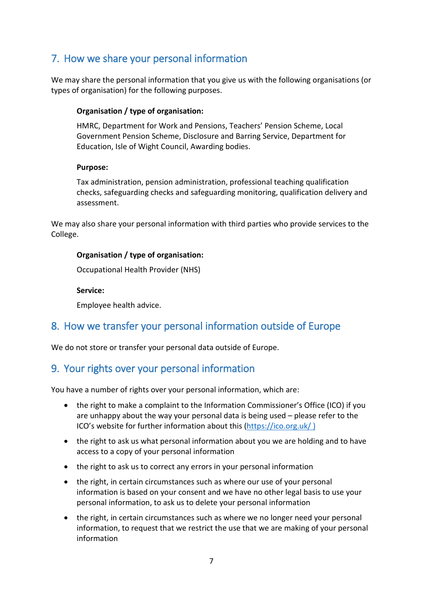# <span id="page-6-0"></span>7. How we share your personal information

We may share the personal information that you give us with the following organisations (or types of organisation) for the following purposes.

### **Organisation / type of organisation:**

HMRC, Department for Work and Pensions, Teachers' Pension Scheme, Local Government Pension Scheme, Disclosure and Barring Service, Department for Education, Isle of Wight Council, Awarding bodies.

#### **Purpose:**

Tax administration, pension administration, professional teaching qualification checks, safeguarding checks and safeguarding monitoring, qualification delivery and assessment.

We may also share your personal information with third parties who provide services to the College.

### **Organisation / type of organisation:**

Occupational Health Provider (NHS)

**Service:**

Employee health advice.

## <span id="page-6-1"></span>8. How we transfer your personal information outside of Europe

We do not store or transfer your personal data outside of Europe.

## <span id="page-6-2"></span>9. Your rights over your personal information

You have a number of rights over your personal information, which are:

- the right to make a complaint to the Information Commissioner's Office (ICO) if you are unhappy about the way your personal data is being used – please refer to the ICO's website for further information about this [\(https://ico.org.uk/](https://ico.org.uk/) )
- the right to ask us what personal information about you we are holding and to have access to a copy of your personal information
- the right to ask us to correct any errors in your personal information
- the right, in certain circumstances such as where our use of your personal information is based on your consent and we have no other legal basis to use your personal information, to ask us to delete your personal information
- the right, in certain circumstances such as where we no longer need your personal information, to request that we restrict the use that we are making of your personal information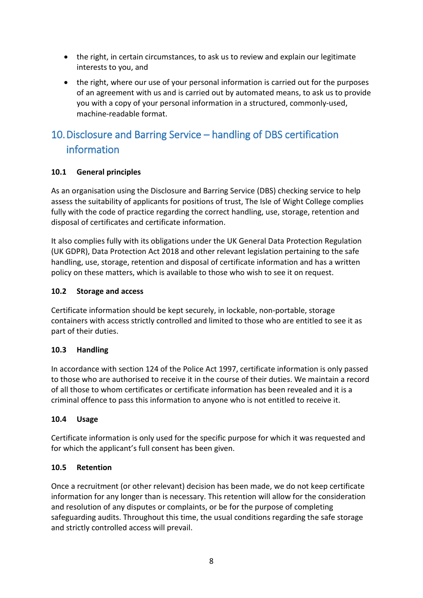- the right, in certain circumstances, to ask us to review and explain our legitimate interests to you, and
- the right, where our use of your personal information is carried out for the purposes of an agreement with us and is carried out by automated means, to ask us to provide you with a copy of your personal information in a structured, commonly-used, machine-readable format.

# <span id="page-7-0"></span>10.Disclosure and Barring Service – handling of DBS certification information

## **10.1 General principles**

As an organisation using the Disclosure and Barring Service (DBS) checking service to help assess the suitability of applicants for positions of trust, The Isle of Wight College complies fully with the code of practice regarding the correct handling, use, storage, retention and disposal of certificates and certificate information.

It also complies fully with its obligations under the UK General Data Protection Regulation (UK GDPR), Data Protection Act 2018 and other relevant legislation pertaining to the safe handling, use, storage, retention and disposal of certificate information and has a written policy on these matters, which is available to those who wish to see it on request.

## **10.2 Storage and access**

Certificate information should be kept securely, in lockable, non-portable, storage containers with access strictly controlled and limited to those who are entitled to see it as part of their duties.

### **10.3 Handling**

In accordance with section 124 of the Police Act 1997, certificate information is only passed to those who are authorised to receive it in the course of their duties. We maintain a record of all those to whom certificates or certificate information has been revealed and it is a criminal offence to pass this information to anyone who is not entitled to receive it.

### **10.4 Usage**

Certificate information is only used for the specific purpose for which it was requested and for which the applicant's full consent has been given.

### **10.5 Retention**

Once a recruitment (or other relevant) decision has been made, we do not keep certificate information for any longer than is necessary. This retention will allow for the consideration and resolution of any disputes or complaints, or be for the purpose of completing safeguarding audits. Throughout this time, the usual conditions regarding the safe storage and strictly controlled access will prevail.